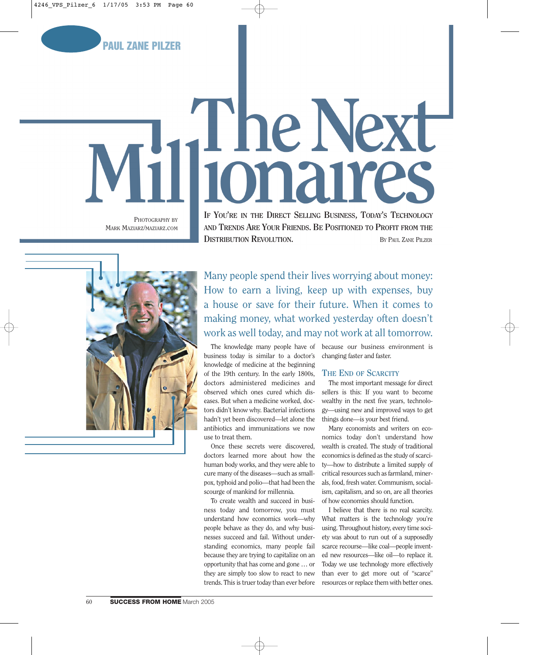

# The Next 10<sub>n</sub>a

PHOTOGRAPHY BY MARK MAZIARZ/MAZIARZ.COM

**IF YOU'RE IN THE DIRECT SELLING BUSINESS, TODAY'S TECHNOLOGY AND TRENDS ARE YOUR FRIENDS. BE POSITIONED TO PROFIT FROM THE DISTRIBUTION REVOLUTION.** BY PAUL ZANE PILZER



Many people spend their lives worrying about money: How to earn a living, keep up with expenses, buy a house or save for their future. When it comes to making money, what worked yesterday often doesn't work as well today, and may not work at all tomorrow.

business today is similar to a doctor's knowledge of medicine at the beginning of the 19th century. In the early 1800s, doctors administered medicines and observed which ones cured which diseases. But when a medicine worked, doctors didn't know why. Bacterial infections hadn't yet been discovered—let alone the antibiotics and immunizations we now use to treat them.

Once these secrets were discovered, doctors learned more about how the human body works, and they were able to cure many of the diseases—such as smallpox, typhoid and polio—that had been the scourge of mankind for millennia.

To create wealth and succeed in business today and tomorrow, you must understand how economics work—why people behave as they do, and why businesses succeed and fail. Without understanding economics, many people fail because they are trying to capitalize on an opportunity that has come and gone … or they are simply too slow to react to new trends. This is truer today than ever before

The knowledge many people have of because our business environment is changing faster and faster.

### **THE END OF SCARCITY**

The most important message for direct sellers is this: If you want to become wealthy in the next five years, technology—using new and improved ways to get things done—is your best friend.

Many economists and writers on economics today don't understand how wealth is created. The study of traditional economics is defined as the study of scarcity—how to distribute a limited supply of critical resources such as farmland, minerals, food, fresh water. Communism, socialism, capitalism, and so on, are all theories of how economies should function.

I believe that there is no real scarcity. What matters is the technology you're using. Throughout history, every time society was about to run out of a supposedly scarce recourse—like coal—people invented new resources—like oil—to replace it. Today we use technology more effectively than ever to get more out of "scarce" resources or replace them with better ones.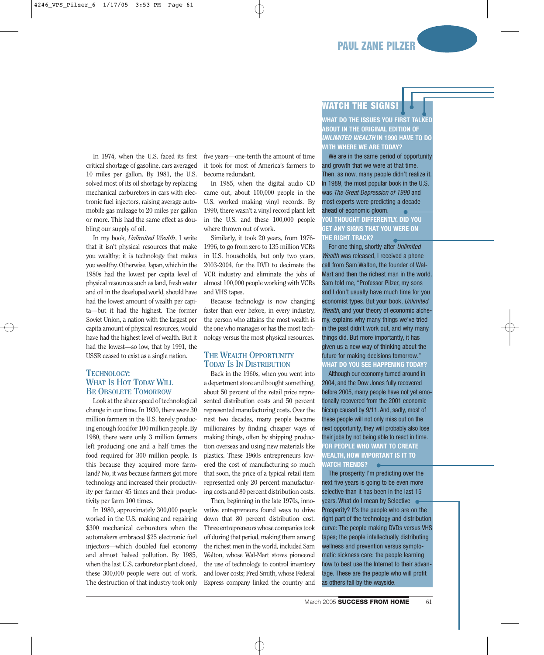In 1974, when the U.S. faced its first critical shortage of gasoline, cars averaged 10 miles per gallon. By 1981, the U.S. solved most of its oil shortage by replacing mechanical carburetors in cars with electronic fuel injectors, raising average automobile gas mileage to 20 miles per gallon or more. This had the same effect as doubling our supply of oil.

In my book, *Unlimited Wealth*, I write that it isn't physical resources that make you wealthy; it is technology that makes you wealthy. Otherwise, Japan, which in the 1980s had the lowest per capita level of physical resources such as land, fresh water and oil in the developed world, should have had the lowest amount of wealth per capita—but it had the highest. The former Soviet Union, a nation with the largest per capita amount of physical resources, would have had the highest level of wealth. But it had the lowest—so low, that by 1991, the USSR ceased to exist as a single nation.

### **TECHNOLOGY: WHAT IS HOT TODAY WILL BE OBSOLETE TOMORROW**

Look at the sheer speed of technological change in our time. In 1930, there were 30 million farmers in the U.S. barely producing enough food for 100 million people. By 1980, there were only 3 million farmers left producing one and a half times the food required for 300 million people. Is this because they acquired more farmland? No, it was because farmers got more technology and increased their productivity per farmer 45 times and their productivity per farm 100 times.

In 1980, approximately 300,000 people worked in the U.S. making and repairing \$300 mechanical carburetors when the automakers embraced \$25 electronic fuel injectors—which doubled fuel economy and almost halved pollution. By 1985, when the last U.S. carburetor plant closed, these 300,000 people were out of work. The destruction of that industry took only five years—one-tenth the amount of time it took for most of America's farmers to become redundant.

In 1985, when the digital audio CD came out, about 100,000 people in the U.S. worked making vinyl records. By 1990, there wasn't a vinyl record plant left in the U.S. and these 100,000 people where thrown out of work.

Similarly, it took 20 years, from 1976- 1996, to go from zero to 135 million VCRs in U.S. households, but only two years, 2003-2004, for the DVD to decimate the VCR industry and eliminate the jobs of almost 100,000 people working with VCRs and VHS tapes.

Because technology is now changing faster than ever before, in every industry, the person who attains the most wealth is the one who manages or has the most technology versus the most physical resources.

### **THE WEALTH OPPORTUNITY TODAY IS IN DISTRIBUTION**

Back in the 1960s, when you went into a department store and bought something, about 50 percent of the retail price represented distribution costs and 50 percent represented manufacturing costs. Over the next two decades, many people became millionaires by finding cheaper ways of making things, often by shipping production overseas and using new materials like plastics. These 1960s entrepreneurs lowered the cost of manufacturing so much that soon, the price of a typical retail item represented only 20 percent manufacturing costs and 80 percent distribution costs.

Then, beginning in the late 1970s, innovative entrepreneurs found ways to drive down that 80 percent distribution cost. Three entrepreneurs whose companies took off during that period, making them among the richest men in the world, included Sam Walton, whose Wal-Mart stores pioneered the use of technology to control inventory and lower costs; Fred Smith, whose Federal Express company linked the country and

### **WATCH THE SIGNS!**

**WHAT DO THE ISSUES YOU FIRST TALKED ABOUT IN THE ORIGINAL EDITION OF UNLIMITED WEALTH IN 1990 HAVE TO DO WITH WHERE WE ARE TODAY?**

We are in the same period of opportunity and growth that we were at that time. Then, as now, many people didn't realize it. In 1989, the most popular book in the U.S. was The Great Depression of 1990 and most experts were predicting a decade ahead of economic gloom.

**YOU THOUGHT DIFFERENTLY. DID YOU GET ANY SIGNS THAT YOU WERE ON THE RIGHT TRACK?**

For one thing, shortly after Unlimited Wealth was released, I received a phone call from Sam Walton, the founder of Wal-Mart and then the richest man in the world. Sam told me, "Professor Pilzer, my sons and I don't usually have much time for you economist types. But your book, Unlimited Wealth, and your theory of economic alchemy, explains why many things we've tried in the past didn't work out, and why many things did. But more importantly, it has given us a new way of thinking about the future for making decisions tomorrow." **WHAT DO YOU SEE HAPPENING TODAY?**

Although our economy turned around in 2004, and the Dow Jones fully recovered before 2005, many people have not yet emotionally recovered from the 2001 economic hiccup caused by 9/11. And, sadly, most of these people will not only miss out on the next opportunity, they will probably also lose their jobs by not being able to react in time. **FOR PEOPLE WHO WANT TO CREATE WEALTH, HOW IMPORTANT IS IT TO WATCH TRENDS?**

The prosperity I'm predicting over the next five years is going to be even more selective than it has been in the last 15 years. What do I mean by Selective  $\bullet$ Prosperity? It's the people who are on the right part of the technology and distribution curve: The people making DVDs versus VHS tapes; the people intellectually distributing wellness and prevention versus symptomatic sickness care; the people learning how to best use the Internet to their advantage. These are the people who will profit as others fall by the wayside.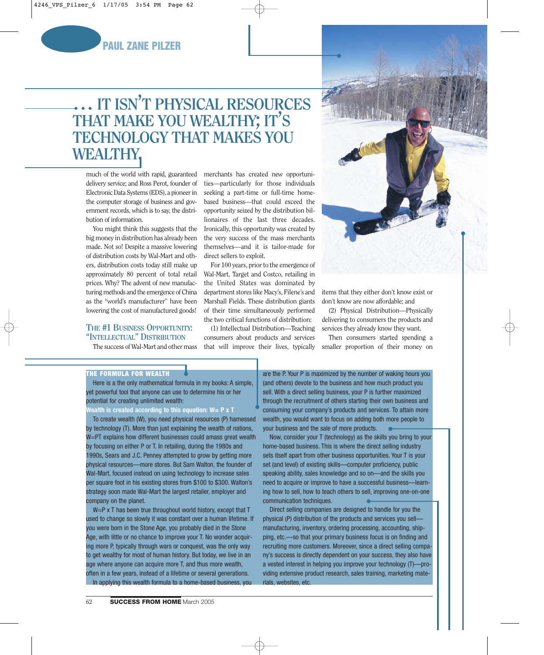

# **… IT ISN'T PHYSICAL RESOURCES THAT MAKE YOU WEALTHY; IT'S TECHNOLOGY THAT MAKES YOU WEALTHY.**

much of the world with rapid, guaranteed delivery service; and Ross Perot, founder of Electronic Data Systems (EDS), a pioneer in the computer storage of business and government records, which is to say, the distribution of information.

You might think this suggests that the big money in distribution has already been made. Not so! Despite a massive lowering of distribution costs by Wal-Mart and others, distribution costs today still make up approximately 80 percent of total retail prices. Why? The advent of new manufacturing methods and the emergence of China as the "world's manufacturer" have been lowering the cost of manufactured goods!

### **THE #1 BUSINESS OPPORTUNITY: "INTELLECTUAL" DISTRIBUTION**

The success of Wal-Mart and other mass

merchants has created new opportunities—particularly for those individuals seeking a part-time or full-time homebased business—that could exceed the opportunity seized by the distribution billionaires of the last three decades. Ironically, this opportunity was created by the very success of the mass merchants themselves—and it is tailor-made for direct sellers to exploit.

For 100 years, prior to the emergence of Wal-Mart, Target and Costco, retailing in the United States was dominated by department stores like Macy's, Filene's and Marshall Fields. These distribution giants of their time simultaneously performed the two critical functions of distribution:

(1) Intellectual Distribution—Teaching consumers about products and services that will improve their lives, typically



items that they either don't know exist or don't know are now affordable; and

(2) Physical Distribution—Physically delivering to consumers the products and services they already know they want.

Then consumers started spending a smaller proportion of their money on

### **THE FORMULA FOR WEALTH**

Here is a the only mathematical formula in my books: A simple, yet powerful tool that anyone can use to determine his or her potential for creating unlimited wealth:

**Wealth is created according to this equation: W= P x T**

To create wealth (W), you need physical resources (P) harnessed by technology (T). More than just explaining the wealth of nations, W=PT explains how different businesses could amass great wealth by focusing on either P or T. In retailing, during the 1980s and 1990s, Sears and J.C. Penney attempted to grow by getting more physical resources—more stores. But Sam Walton, the founder of Wal-Mart, focused instead on using technology to increase sales per square foot in his existing stores from \$100 to \$300. Walton's strategy soon made Wal-Mart the largest retailer, employer and company on the planet.

W=P x T has been true throughout world history, except that T used to change so slowly it was constant over a human lifetime. If you were born in the Stone Age, you probably died in the Stone Age, with little or no chance to improve your T. No wonder acquiring more P, typically through wars or conquest, was the only way to get wealthy for most of human history. But today, we live in an age where anyone can acquire more T, and thus more wealth, often in a few years, instead of a lifetime or several generations. In applying this wealth formula to a home-based business, you

are the P. Your P is maximized by the number of waking hours you (and others) devote to the business and how much product you sell. With a direct selling business, your P is further maximized through the recruitment of others starting their own business and consuming your company's products and services. To attain more wealth, you would want to focus on adding both more people to your business and the sale of more products.

Now, consider your T (technology) as the skills you bring to your home-based business. This is where the direct selling industry sets itself apart from other business opportunities. Your T is your set (and level) of existing skills—computer proficiency, public speaking ability, sales knowledge and so on—and the skills you need to acquire or improve to have a successful business—learning how to sell, how to teach others to sell, improving one-on-one communication techniques.

Direct selling companies are designed to handle for you the physical (P) distribution of the products and services you sell manufacturing, inventory, ordering processing, accounting, shipping, etc.—so that your primary business focus is on finding and recruiting more customers. Moreover, since a direct selling company's success is directly dependent on your success, they also have a vested interest in helping you improve your technology (T)—providing extensive product research, sales training, marketing materials, websites, etc.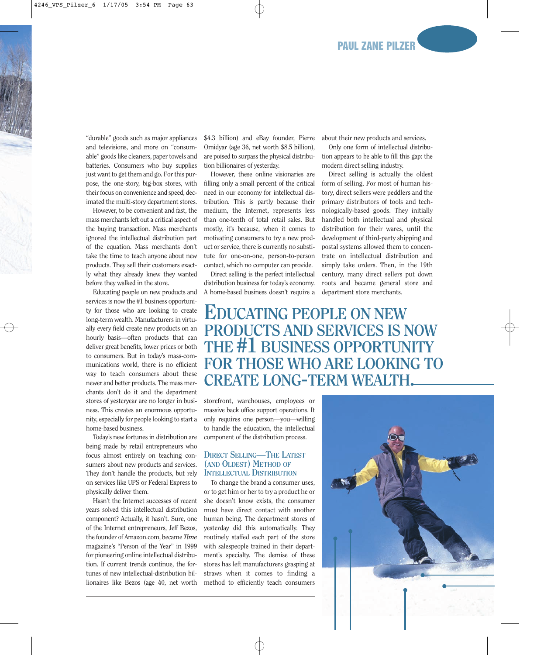"durable" goods such as major appliances and televisions, and more on "consumable" goods like cleaners, paper towels and batteries. Consumers who buy supplies just want to get them and go. For this purpose, the one-story, big-box stores, with their focus on convenience and speed, decimated the multi-story department stores.

However, to be convenient and fast, the mass merchants left out a critical aspect of the buying transaction. Mass merchants ignored the intellectual distribution part of the equation. Mass merchants don't take the time to teach anyone about new products. They sell their customers exactly what they already knew they wanted before they walked in the store.

Educating people on new products and services is now the #1 business opportunity for those who are looking to create long-term wealth. Manufacturers in virtually every field create new products on an hourly basis—often products that can deliver great benefits, lower prices or both to consumers. But in today's mass-communications world, there is no efficient way to teach consumers about these newer and better products. The mass merchants don't do it and the department stores of yesteryear are no longer in business. This creates an enormous opportunity, especially for people looking to start a home-based business.

Today's new fortunes in distribution are being made by retail entrepreneurs who focus almost entirely on teaching consumers about new products and services. They don't handle the products, but rely on services like UPS or Federal Express to physically deliver them.

Hasn't the Internet successes of recent years solved this intellectual distribution component? Actually, it hasn't. Sure, one of the Internet entrepreneurs, Jeff Bezos, the founder of Amazon.com, became *Time* magazine's "Person of the Year" in 1999 for pioneering online intellectual distribution. If current trends continue, the fortunes of new intellectual-distribution billionaires like Bezos (age 40, net worth

\$4.3 billion) and eBay founder, Pierre Omidyar (age 36, net worth \$8.5 billion), are poised to surpass the physical distribution billionaires of yesterday.

However, these online visionaries are filling only a small percent of the critical need in our economy for intellectual distribution. This is partly because their medium, the Internet, represents less than one-tenth of total retail sales. But mostly, it's because, when it comes to motivating consumers to try a new product or service, there is currently no substitute for one-on-one, person-to-person contact, which no computer can provide.

Direct selling is the perfect intellectual distribution business for today's economy. A home-based business doesn't require a

about their new products and services.

Only one form of intellectual distribution appears to be able to fill this gap: the modern direct selling industry.

Direct selling is actually the oldest form of selling. For most of human history, direct sellers were peddlers and the primary distributors of tools and technologically-based goods. They initially handled both intellectual and physical distribution for their wares, until the development of third-party shipping and postal systems allowed them to concentrate on intellectual distribution and simply take orders. Then, in the 19th century, many direct sellers put down roots and became general store and department store merchants.

**EDUCATING PEOPLE ON NEW PRODUCTS AND SERVICES IS NOW THE #1 BUSINESS OPPORTUNITY FOR THOSE WHO ARE LOOKING TO CREATE LONG-TERM WEALTH.**

storefront, warehouses, employees or massive back office support operations. It only requires one person—you—willing to handle the education, the intellectual component of the distribution process.

### **DIRECT SELLING—THE LATEST (AND OLDEST) METHOD OF INTELLECTUAL DISTRIBUTION**

To change the brand a consumer uses, or to get him or her to try a product he or she doesn't know exists, the consumer must have direct contact with another human being. The department stores of yesterday did this automatically. They routinely staffed each part of the store with salespeople trained in their department's specialty. The demise of these stores has left manufacturers grasping at straws when it comes to finding a method to efficiently teach consumers

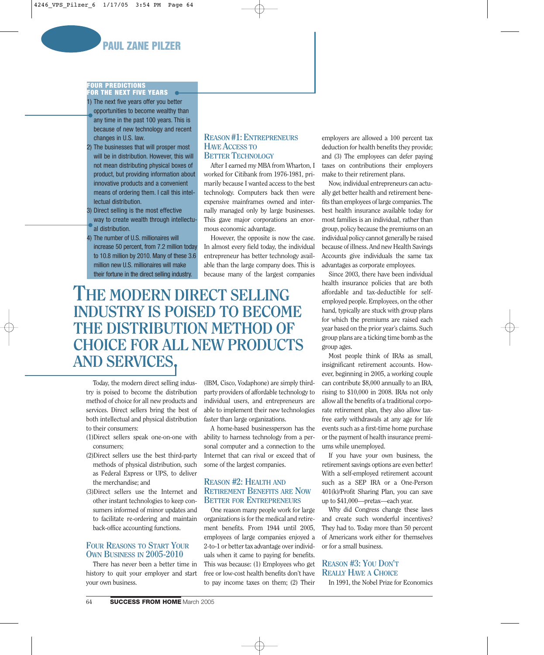## **PAUL ZANE PILZER**

### **FOUR PREDICTIONS FOR THE NEXT FIVE YEARS**

1) The next five years offer you better opportunities to become wealthy than any time in the past 100 years. This is because of new technology and recent changes in U.S. law.

- 2) The businesses that will prosper most will be in distribution. However, this will not mean distributing physical boxes of product, but providing information about innovative products and a convenient means of ordering them. I call this intellectual distribution.
- 3) Direct selling is the most effective way to create wealth through intellectual distribution.

4) The number of U.S. millionaires will increase 50 percent, from 7.2 million today to 10.8 million by 2010. Many of these 3.6 million new U.S. millionaires will make their fortune in the direct selling industry.

### **REASON #1: ENTREPRENEURS HAVE ACCESS TO BETTER TECHNOLOGY**

After I earned my MBA from Wharton, I worked for Citibank from 1976-1981, primarily because I wanted access to the best technology. Computers back then were expensive mainframes owned and internally managed only by large businesses. This gave major corporations an enormous economic advantage.

However, the opposite is now the case. In almost every field today, the individual entrepreneur has better technology available than the large company does. This is because many of the largest companies

# **THE MODERN DIRECT SELLING INDUSTRY IS POISED TO BECOME THE DISTRIBUTION METHOD OF CHOICE FOR ALL NEW PRODUCTS AND SERVICES.**

Today, the modern direct selling industry is poised to become the distribution method of choice for all new products and services. Direct sellers bring the best of both intellectual and physical distribution to their consumers:

- (1)Direct sellers speak one-on-one with consumers;
- (2)Direct sellers use the best third-party methods of physical distribution, such as Federal Express or UPS, to deliver the merchandise; and
- (3)Direct sellers use the Internet and other instant technologies to keep consumers informed of minor updates and to facilitate re-ordering and maintain back-office accounting functions.

### **FOUR REASONS TO START YOUR OWN BUSINESS IN 2005-2010**

There has never been a better time in history to quit your employer and start your own business.

(IBM, Cisco, Vodaphone) are simply thirdparty providers of affordable technology to individual users, and entrepreneurs are able to implement their new technologies faster than large organizations.

A home-based businessperson has the ability to harness technology from a personal computer and a connection to the Internet that can rival or exceed that of some of the largest companies.

### **REASON #2: HEALTH AND RETIREMENT BENEFITS ARE NOW BETTER FOR ENTREPRENEURS**

One reason many people work for large organizations is for the medical and retirement benefits. From 1944 until 2005, employees of large companies enjoyed a 2-to-1 or better tax advantage over individuals when it came to paying for benefits. This was because: (1) Employees who get free or low-cost health benefits don't have to pay income taxes on them; (2) Their

employers are allowed a 100 percent tax deduction for health benefits they provide; and (3) The employees can defer paying taxes on contributions their employers make to their retirement plans.

Now, individual entrepreneurs can actually get better health and retirement benefits than employees of large companies. The best health insurance available today for most families is an individual, rather than group, policy because the premiums on an individual policy cannot generally be raised because of illness. And new Health Savings Accounts give individuals the same tax advantages as corporate employees.

Since 2003, there have been individual health insurance policies that are both affordable and tax-deductible for selfemployed people. Employees, on the other hand, typically are stuck with group plans for which the premiums are raised each year based on the prior year's claims. Such group plans are a ticking time bomb as the group ages.

Most people think of IRAs as small, insignificant retirement accounts. However, beginning in 2005, a working couple can contribute \$8,000 annually to an IRA, rising to \$10,000 in 2008. IRAs not only allow all the benefits of a traditional corporate retirement plan, they also allow taxfree early withdrawals at any age for life events such as a first-time home purchase or the payment of health insurance premiums while unemployed.

If you have your own business, the retirement savings options are even better! With a self-employed retirement account such as a SEP IRA or a One-Person 401(k)/Profit Sharing Plan, you can save up to \$41,000—pretax—each year.

Why did Congress change these laws and create such wonderful incentives? They had to. Today more than 50 percent of Americans work either for themselves or for a small business.

### **REASON #3: YOU DON'T REALLY HAVE A CHOICE**

In 1991, the Nobel Prize for Economics